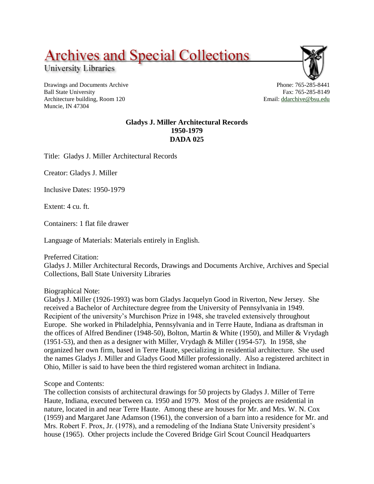## **Archives and Special Collections**

University Libraries

Drawings and Documents Archive Ball State University Architecture building, Room 120 Muncie, IN 47304



Email: [ddarchive@bsu.edu](mailto:ddarchive@bsu.edu)

## **Gladys J. Miller Architectural Records 1950-1979 DADA 025**

Title: Gladys J. Miller Architectural Records

Creator: Gladys J. Miller

Inclusive Dates: 1950-1979

Extent: 4 cu. ft.

Containers: 1 flat file drawer

Language of Materials: Materials entirely in English.

Preferred Citation: Gladys J. Miller Architectural Records, Drawings and Documents Archive, Archives and Special Collections, Ball State University Libraries

Biographical Note:

Gladys J. Miller (1926-1993) was born Gladys Jacquelyn Good in Riverton, New Jersey. She received a Bachelor of Architecture degree from the University of Pennsylvania in 1949. Recipient of the university's Murchison Prize in 1948, she traveled extensively throughout Europe. She worked in Philadelphia, Pennsylvania and in Terre Haute, Indiana as draftsman in the offices of Alfred Bendiner (1948-50), Bolton, Martin & White (1950), and Miller & Vrydagh (1951-53), and then as a designer with Miller, Vrydagh & Miller (1954-57). In 1958, she organized her own firm, based in Terre Haute, specializing in residential architecture. She used the names Gladys J. Miller and Gladys Good Miller professionally. Also a registered architect in Ohio, Miller is said to have been the third registered woman architect in Indiana.

Scope and Contents:

The collection consists of architectural drawings for 50 projects by Gladys J. Miller of Terre Haute, Indiana, executed between ca. 1950 and 1979. Most of the projects are residential in nature, located in and near Terre Haute. Among these are houses for Mr. and Mrs. W. N. Cox (1959) and Margaret Jane Adamson (1961), the conversion of a barn into a residence for Mr. and Mrs. Robert F. Prox, Jr. (1978), and a remodeling of the Indiana State University president's house (1965). Other projects include the Covered Bridge Girl Scout Council Headquarters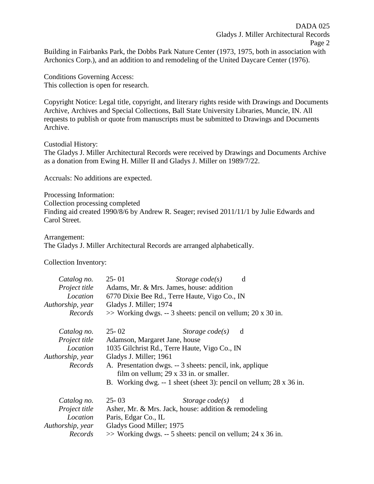Building in Fairbanks Park, the Dobbs Park Nature Center (1973, 1975, both in association with Archonics Corp.), and an addition to and remodeling of the United Daycare Center (1976).

Conditions Governing Access: This collection is open for research.

Copyright Notice: Legal title, copyright, and literary rights reside with Drawings and Documents Archive, Archives and Special Collections, Ball State University Libraries, Muncie, IN. All requests to publish or quote from manuscripts must be submitted to Drawings and Documents Archive.

Custodial History: The Gladys J. Miller Architectural Records were received by Drawings and Documents Archive as a donation from Ewing H. Miller II and Gladys J. Miller on 1989/7/22.

Accruals: No additions are expected.

Processing Information: Collection processing completed Finding aid created 1990/8/6 by Andrew R. Seager; revised 2011/11/1 by Julie Edwards and Carol Street.

Arrangement: The Gladys J. Miller Architectural Records are arranged alphabetically.

Collection Inventory:

| Catalog no.<br>Project title<br>Location<br>Authorship, year<br>Records | $25 - 01$<br>Adams, Mr. & Mrs. James, house: addition<br>6770 Dixie Bee Rd., Terre Haute, Vigo Co., IN<br>Gladys J. Miller; 1974<br>$\gg$ Working dwgs. -- 3 sheets: pencil on vellum; 20 x 30 in.                                                                                                  | Storage $code(s)$   | d |
|-------------------------------------------------------------------------|-----------------------------------------------------------------------------------------------------------------------------------------------------------------------------------------------------------------------------------------------------------------------------------------------------|---------------------|---|
| Catalog no.<br>Project title<br>Location<br>Authorship, year<br>Records | $25 - 02$<br>Adamson, Margaret Jane, house<br>1035 Gilchrist Rd., Terre Haute, Vigo Co., IN<br>Gladys J. Miller; 1961<br>A. Presentation dwgs. -- 3 sheets: pencil, ink, applique<br>film on vellum; 29 x 33 in. or smaller.<br>B. Working dwg. $-1$ sheet (sheet 3): pencil on vellum; 28 x 36 in. | Storage $code(s)$ d |   |
| Catalog no.<br>Project title<br>Location<br>Authorship, year<br>Records | $25 - 03$<br>Asher, Mr. & Mrs. Jack, house: addition & remodeling<br>Paris, Edgar Co., IL<br>Gladys Good Miller; 1975<br>$\gg$ Working dwgs. -- 5 sheets: pencil on vellum; 24 x 36 in.                                                                                                             | Storage $code(s)$ d |   |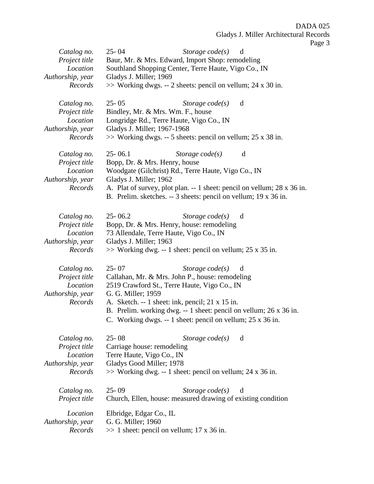Page 3

| Catalog no.<br>Project title<br>Location<br>Authorship, year<br>Records | $25 - 04$<br>Storage $code(s)$<br>d<br>Baur, Mr. & Mrs. Edward, Import Shop: remodeling<br>Southland Shopping Center, Terre Haute, Vigo Co., IN<br>Gladys J. Miller; 1969<br>$\gg$ Working dwgs. -- 2 sheets: pencil on vellum; 24 x 30 in.                                                                                                        |
|-------------------------------------------------------------------------|----------------------------------------------------------------------------------------------------------------------------------------------------------------------------------------------------------------------------------------------------------------------------------------------------------------------------------------------------|
| Catalog no.<br>Project title<br>Location<br>Authorship, year<br>Records | $25 - 05$<br>Storage $code(s)$<br>d<br>Bindley, Mr. & Mrs. Wm. F., house<br>Longridge Rd., Terre Haute, Vigo Co., IN<br>Gladys J. Miller; 1967-1968<br>$\gg$ Working dwgs. -- 5 sheets: pencil on vellum; 25 x 38 in.                                                                                                                              |
| Catalog no.<br>Project title<br>Location<br>Authorship, year<br>Records | $25 - 06.1$<br>Storage $code(s)$<br>d<br>Bopp, Dr. & Mrs. Henry, house<br>Woodgate (Gilchrist) Rd., Terre Haute, Vigo Co., IN<br>Gladys J. Miller; 1962<br>A. Plat of survey, plot plan. -- 1 sheet: pencil on vellum; 28 x 36 in.<br>B. Prelim. sketches. -- 3 sheets: pencil on vellum; 19 x 36 in.                                              |
| Catalog no.<br>Project title<br>Location<br>Authorship, year<br>Records | $25 - 06.2$<br>Storage $code(s)$<br>d<br>Bopp, Dr. & Mrs. Henry, house: remodeling<br>73 Allendale, Terre Haute, Vigo Co., IN<br>Gladys J. Miller; 1963<br>$\gg$ Working dwg. -- 1 sheet: pencil on vellum; 25 x 35 in.                                                                                                                            |
| Catalog no.<br>Project title<br>Location<br>Authorship, year<br>Records | $25 - 07$<br>Storage $code(s)$<br>d<br>Callahan, Mr. & Mrs. John P., house: remodeling<br>2519 Crawford St., Terre Haute, Vigo Co., IN<br>G. G. Miller; 1959<br>A. Sketch. -- 1 sheet: ink, pencil; 21 x 15 in.<br>B. Prelim. working dwg. -- 1 sheet: pencil on vellum; 26 x 36 in.<br>C. Working dwgs. -- 1 sheet: pencil on vellum; 25 x 36 in. |
| Catalog no.<br>Project title<br>Location<br>Authorship, year<br>Records | $25 - 08$<br>Storage $code(s)$<br>d<br>Carriage house: remodeling<br>Terre Haute, Vigo Co., IN<br>Gladys Good Miller; 1978<br>$\gg$ Working dwg. -- 1 sheet: pencil on vellum; 24 x 36 in.                                                                                                                                                         |
| Catalog no.<br>Project title                                            | $25 - 09$<br>Storage $code(s)$<br>d<br>Church, Ellen, house: measured drawing of existing condition                                                                                                                                                                                                                                                |
| Location<br>Authorship, year<br>Records                                 | Elbridge, Edgar Co., IL<br>G. G. Miller; 1960<br>$\gg$ 1 sheet: pencil on vellum; 17 x 36 in.                                                                                                                                                                                                                                                      |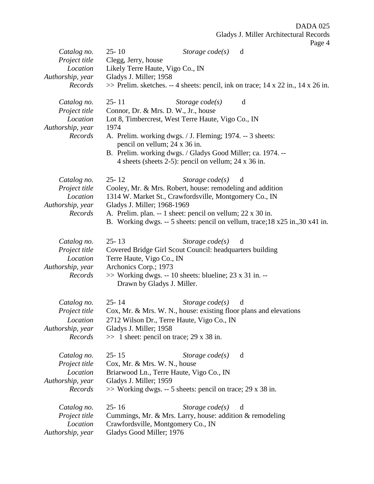| Catalog no.<br>Project title | $25 - 10$<br>Storage $code(s)$<br>d<br>Clegg, Jerry, house                                                          |
|------------------------------|---------------------------------------------------------------------------------------------------------------------|
| Location                     | Likely Terre Haute, Vigo Co., IN                                                                                    |
| Authorship, year             | Gladys J. Miller; 1958                                                                                              |
| Records                      | $\gg$ Prelim. sketches. -- 4 sheets: pencil, ink on trace; 14 x 22 in., 14 x 26 in.                                 |
| Catalog no.                  | $25 - 11$<br>Storage $code(s)$<br>d                                                                                 |
| Project title<br>Location    | Connor, Dr. & Mrs. D. W., Jr., house                                                                                |
| Authorship, year             | Lot 8, Timbercrest, West Terre Haute, Vigo Co., IN<br>1974                                                          |
| Records                      | A. Prelim. working dwgs. / J. Fleming; 1974. -- 3 sheets:                                                           |
|                              | pencil on vellum; 24 x 36 in.                                                                                       |
|                              | B. Prelim. working dwgs. / Gladys Good Miller; ca. 1974. --<br>4 sheets (sheets 2-5): pencil on vellum; 24 x 36 in. |
| Catalog no.                  | $25 - 12$<br>Storage $code(s)$<br>d                                                                                 |
| Project title                | Cooley, Mr. & Mrs. Robert, house: remodeling and addition                                                           |
| Location                     | 1314 W. Market St., Crawfordsville, Montgomery Co., IN                                                              |
| Authorship, year<br>Records  | Gladys J. Miller; 1968-1969<br>A. Prelim. plan. -- 1 sheet: pencil on vellum; 22 x 30 in.                           |
|                              | B. Working dwgs. -- 5 sheets: pencil on vellum, trace; 18 x25 in., 30 x41 in.                                       |
| Catalog no.                  | $25 - 13$<br>Storage $code(s)$<br>d                                                                                 |
| Project title                | Covered Bridge Girl Scout Council: headquarters building                                                            |
| Location                     | Terre Haute, Vigo Co., IN                                                                                           |
| Authorship, year<br>Records  | Archonics Corp.; 1973                                                                                               |
|                              | $\gg$ Working dwgs. -- 10 sheets: blueline; 23 x 31 in. --<br>Drawn by Gladys J. Miller.                            |
| Catalog no.                  | $25 - 14$<br>Storage $code(s)$<br>d                                                                                 |
| Project title                | Cox, Mr. & Mrs. W. N., house: existing floor plans and elevations                                                   |
| Location                     | 2712 Wilson Dr., Terre Haute, Vigo Co., IN                                                                          |
| Authorship, year             | Gladys J. Miller; 1958                                                                                              |
| Records                      | $\gg$ 1 sheet: pencil on trace; 29 x 38 in.                                                                         |
| Catalog no.                  | $25 - 15$<br>Storage $code(s)$<br>d                                                                                 |
| Project title                | Cox, Mr. & Mrs. W. N., house                                                                                        |
| Location                     | Briarwood Ln., Terre Haute, Vigo Co., IN                                                                            |
| Authorship, year<br>Records  | Gladys J. Miller; 1959<br>$\gg$ Working dwgs. -- 5 sheets: pencil on trace; 29 x 38 in.                             |
| Catalog no.                  | $25 - 16$<br>Storage $code(s)$<br>d                                                                                 |
| Project title                | Cummings, Mr. & Mrs. Larry, house: addition & remodeling                                                            |
| Location                     | Crawfordsville, Montgomery Co., IN                                                                                  |
| Authorship, year             | Gladys Good Miller; 1976                                                                                            |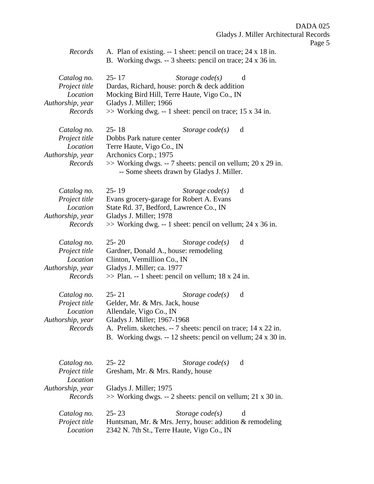Page 5

*Records* A. Plan of existing. -- 1 sheet: pencil on trace; 24 x 18 in. B. Working dwgs. -- 3 sheets: pencil on trace; 24 x 36 in.

| Catalog no.<br>Project title<br>Location<br>Authorship, year<br>Records                | $25 - 17$<br>Storage $code(s)$<br>d<br>Dardas, Richard, house: porch & deck addition<br>Mocking Bird Hill, Terre Haute, Vigo Co., IN<br>Gladys J. Miller; 1966<br>>> Working dwg. -- 1 sheet: pencil on trace; 15 x 34 in.                                        |
|----------------------------------------------------------------------------------------|-------------------------------------------------------------------------------------------------------------------------------------------------------------------------------------------------------------------------------------------------------------------|
| Catalog no.<br>Project title<br>Location<br>Authorship, year<br>Records                | $25 - 18$<br>Storage $code(s)$<br>d<br>Dobbs Park nature center<br>Terre Haute, Vigo Co., IN<br>Archonics Corp.; 1975<br>$\gg$ Working dwgs. -- 7 sheets: pencil on vellum; 20 x 29 in.<br>-- Some sheets drawn by Gladys J. Miller.                              |
| Catalog no.<br>Project title<br>Location<br>Authorship, year<br>Records                | $25 - 19$<br>Storage $code(s)$<br>d<br>Evans grocery-garage for Robert A. Evans<br>State Rd. 37, Bedford, Lawrence Co., IN<br>Gladys J. Miller; 1978<br>$\gg$ Working dwg. -- 1 sheet: pencil on vellum; 24 x 36 in.                                              |
| Catalog no.<br>Project title<br>Location<br>Authorship, year<br>Records                | $25 - 20$<br>Storage $code(s)$<br>d<br>Gardner, Donald A., house: remodeling<br>Clinton, Vermillion Co., IN<br>Gladys J. Miller; ca. 1977<br>$\gg$ Plan. -- 1 sheet: pencil on vellum; 18 x 24 in.                                                                |
| Catalog no.<br>Project title<br>Location<br>Authorship, year<br>Records                | $25 - 21$<br>Storage $code(s)$<br>d<br>Gelder, Mr. & Mrs. Jack, house<br>Allendale, Vigo Co., IN<br>Gladys J. Miller; 1967-1968<br>A. Prelim. sketches. -- 7 sheets: pencil on trace; 14 x 22 in.<br>B. Working dwgs. -- 12 sheets: pencil on vellum; 24 x 30 in. |
| Catalog no.<br>Project title<br>Location<br>Authorship, year<br>Records<br>Catalog no. | $25 - 22$<br>Storage $code(s)$<br>d<br>Gresham, Mr. & Mrs. Randy, house<br>Gladys J. Miller; 1975<br>$\gg$ Working dwgs. -- 2 sheets: pencil on vellum; 21 x 30 in.<br>$25 - 23$<br>Storage $code(s)$<br>d                                                        |
| Project title<br>Location                                                              | Huntsman, Mr. & Mrs. Jerry, house: addition & remodeling<br>2342 N. 7th St., Terre Haute, Vigo Co., IN                                                                                                                                                            |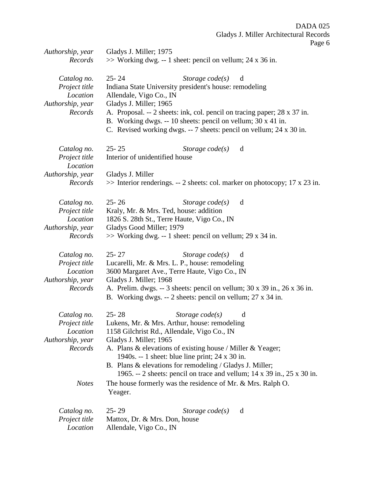| Authorship, year                                                                               | Gladys J. Miller; 1975                                                                                                                                                                                                                                                                                                                                                                                                                                                                                         |
|------------------------------------------------------------------------------------------------|----------------------------------------------------------------------------------------------------------------------------------------------------------------------------------------------------------------------------------------------------------------------------------------------------------------------------------------------------------------------------------------------------------------------------------------------------------------------------------------------------------------|
| Records                                                                                        | $\gg$ Working dwg. -- 1 sheet: pencil on vellum; 24 x 36 in.                                                                                                                                                                                                                                                                                                                                                                                                                                                   |
| Catalog no.<br>Project title<br>Location<br>Authorship, year<br>Records                        | $25 - 24$<br>Storage $code(s)$<br>d<br>Indiana State University president's house: remodeling<br>Allendale, Vigo Co., IN<br>Gladys J. Miller; 1965<br>A. Proposal. -- 2 sheets: ink, col. pencil on tracing paper; 28 x 37 in.<br>B. Working dwgs. -- 10 sheets: pencil on vellum; 30 x 41 in.<br>C. Revised working dwgs. -- 7 sheets: pencil on vellum; 24 x 30 in.                                                                                                                                          |
| Catalog no.<br>Project title<br>Location<br>Authorship, year                                   | $25 - 25$<br>Storage $code(s)$<br>d<br>Interior of unidentified house<br>Gladys J. Miller                                                                                                                                                                                                                                                                                                                                                                                                                      |
| Records                                                                                        | $\gg$ Interior renderings. -- 2 sheets: col. marker on photocopy; 17 x 23 in.                                                                                                                                                                                                                                                                                                                                                                                                                                  |
| Catalog no.<br>Project title<br>Location<br>Authorship, year<br>Records                        | $25 - 26$<br>Storage $code(s)$<br>d<br>Kraly, Mr. & Mrs. Ted, house: addition<br>1826 S. 28th St., Terre Haute, Vigo Co., IN<br>Gladys Good Miller; 1979<br>$\gg$ Working dwg. -- 1 sheet: pencil on vellum; 29 x 34 in.                                                                                                                                                                                                                                                                                       |
| Catalog no.<br>Project title<br>Location<br>Authorship, year<br>Records                        | $25 - 27$<br>Storage $code(s)$<br>d<br>Lucarelli, Mr. & Mrs. L. P., house: remodeling<br>3600 Margaret Ave., Terre Haute, Vigo Co., IN<br>Gladys J. Miller; 1968<br>A. Prelim. dwgs. -- 3 sheets: pencil on vellum; 30 x 39 in., 26 x 36 in.<br>B. Working dwgs. -- 2 sheets: pencil on vellum; 27 x 34 in.                                                                                                                                                                                                    |
| Catalog no.<br><i>Project title</i><br>Location<br>Authorship, year<br>Records<br><b>Notes</b> | $25 - 28$<br>Storage $code(s)$<br>d<br>Lukens, Mr. & Mrs. Arthur, house: remodeling<br>1158 Gilchrist Rd., Allendale, Vigo Co., IN<br>Gladys J. Miller; 1965<br>A. Plans $\&$ elevations of existing house / Miller $\&$ Yeager;<br>1940s. -- 1 sheet: blue line print; $24 \times 30$ in.<br>B. Plans & elevations for remodeling / Gladys J. Miller;<br>1965. -- 2 sheets: pencil on trace and vellum; $14 \times 39$ in., $25 \times 30$ in.<br>The house formerly was the residence of Mr. & Mrs. Ralph O. |
| Catalog no.<br>Project title<br>Location                                                       | Yeager.<br>$25 - 29$<br>Storage $code(s)$<br>d<br>Mattox, Dr. & Mrs. Don, house<br>Allendale, Vigo Co., IN                                                                                                                                                                                                                                                                                                                                                                                                     |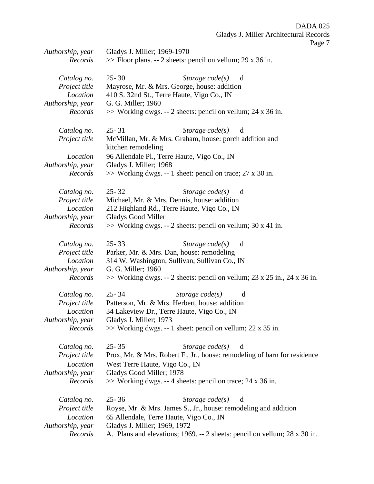| Authorship, year | $\circ$<br>Gladys J. Miller; 1969-1970                                      |
|------------------|-----------------------------------------------------------------------------|
| Records          | $\gg$ Floor plans. -- 2 sheets: pencil on vellum; 29 x 36 in.               |
|                  |                                                                             |
| Catalog no.      | $25 - 30$<br>Storage $code(s)$<br>d                                         |
| Project title    | Mayrose, Mr. & Mrs. George, house: addition                                 |
| Location         | 410 S. 32nd St., Terre Haute, Vigo Co., IN                                  |
|                  |                                                                             |
| Authorship, year | G. G. Miller; 1960                                                          |
| Records          | >> Working dwgs. -- 2 sheets: pencil on vellum; 24 x 36 in.                 |
| Catalog no.      | $25 - 31$<br>Storage $code(s)$<br>d                                         |
| Project title    | McMillan, Mr. & Mrs. Graham, house: porch addition and                      |
|                  | kitchen remodeling                                                          |
| Location         | 96 Allendale Pl., Terre Haute, Vigo Co., IN                                 |
| Authorship, year | Gladys J. Miller; 1968                                                      |
| Records          | $\gg$ Working dwgs. -- 1 sheet: pencil on trace; 27 x 30 in.                |
|                  |                                                                             |
| Catalog no.      | $25 - 32$<br>Storage $code(s)$<br>d                                         |
| Project title    | Michael, Mr. & Mrs. Dennis, house: addition                                 |
| Location         | 212 Highland Rd., Terre Haute, Vigo Co., IN                                 |
| Authorship, year | <b>Gladys Good Miller</b>                                                   |
| Records          | >> Working dwgs. -- 2 sheets: pencil on vellum; 30 x 41 in.                 |
|                  |                                                                             |
| Catalog no.      | $25 - 33$<br>Storage $code(s)$<br>d                                         |
| Project title    | Parker, Mr. & Mrs. Dan, house: remodeling                                   |
| Location         | 314 W. Washington, Sullivan, Sullivan Co., IN                               |
| Authorship, year | G. G. Miller; 1960                                                          |
| Records          | $\gg$ Working dwgs. -- 2 sheets: pencil on vellum; 23 x 25 in., 24 x 36 in. |
|                  |                                                                             |
| Catalog no.      | $25 - 34$<br>Storage $code(s)$<br>d                                         |
| Project title    | Patterson, Mr. & Mrs. Herbert, house: addition                              |
| Location         | 34 Lakeview Dr., Terre Haute, Vigo Co., IN                                  |
| Authorship, year | Gladys J. Miller; 1973                                                      |
| Records          | $\gg$ Working dwgs. -- 1 sheet: pencil on vellum; 22 x 35 in.               |
|                  |                                                                             |
| Catalog no.      | $25 - 35$<br>Storage $code(s)$<br>d                                         |
| Project title    | Prox, Mr. & Mrs. Robert F., Jr., house: remodeling of barn for residence    |
| Location         | West Terre Haute, Vigo Co., IN                                              |
| Authorship, year | Gladys Good Miller; 1978                                                    |
| Records          | $\gg$ Working dwgs. -- 4 sheets: pencil on trace; 24 x 36 in.               |
|                  |                                                                             |
| Catalog no.      | $25 - 36$<br>Storage $code(s)$<br>d                                         |
| Project title    | Royse, Mr. & Mrs. James S., Jr., house: remodeling and addition             |
| Location         | 65 Allendale, Terre Haute, Vigo Co., IN                                     |
| Authorship, year | Gladys J. Miller; 1969, 1972                                                |
| Records          |                                                                             |
|                  | A. Plans and elevations; 1969. -- 2 sheets: pencil on vellum; 28 x 30 in.   |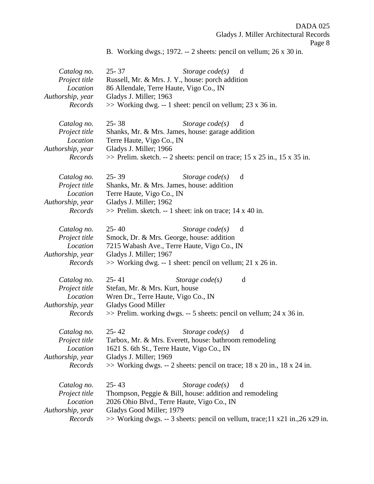B. Working dwgs.; 1972. -- 2 sheets: pencil on vellum; 26 x 30 in.

| Catalog no.      | 25-37<br>Storage $code(s)$<br>d                                               |  |
|------------------|-------------------------------------------------------------------------------|--|
| Project title    | Russell, Mr. & Mrs. J. Y., house: porch addition                              |  |
| Location         | 86 Allendale, Terre Haute, Vigo Co., IN                                       |  |
| Authorship, year | Gladys J. Miller; 1963                                                        |  |
| Records          | $\gg$ Working dwg. -- 1 sheet: pencil on vellum; 23 x 36 in.                  |  |
| Catalog no.      | $25 - 38$<br>Storage $code(s)$<br>d                                           |  |
| Project title    | Shanks, Mr. & Mrs. James, house: garage addition                              |  |
| Location         | Terre Haute, Vigo Co., IN                                                     |  |
| Authorship, year | Gladys J. Miller; 1966                                                        |  |
| Records          | $\gg$ Prelim. sketch. -- 2 sheets: pencil on trace; 15 x 25 in., 15 x 35 in.  |  |
| Catalog no.      | $25 - 39$<br>Storage $code(s)$<br>d                                           |  |
| Project title    | Shanks, Mr. & Mrs. James, house: addition                                     |  |
| Location         | Terre Haute, Vigo Co., IN                                                     |  |
| Authorship, year | Gladys J. Miller; 1962                                                        |  |
| Records          | >> Prelim. sketch. -- 1 sheet: ink on trace; 14 x 40 in.                      |  |
| Catalog no.      | $25 - 40$<br>Storage $code(s)$<br>d                                           |  |
| Project title    | Smock, Dr. & Mrs. George, house: addition                                     |  |
| Location         | 7215 Wabash Ave., Terre Haute, Vigo Co., IN                                   |  |
| Authorship, year | Gladys J. Miller; 1967                                                        |  |
| Records          | $\gg$ Working dwg. -- 1 sheet: pencil on vellum; 21 x 26 in.                  |  |
| Catalog no.      | $25 - 41$<br>Storage code(s)<br>d                                             |  |
| Project title    | Stefan, Mr. & Mrs. Kurt, house                                                |  |
| Location         | Wren Dr., Terre Haute, Vigo Co., IN                                           |  |
| Authorship, year | <b>Gladys Good Miller</b>                                                     |  |
| Records          | $\gg$ Prelim. working dwgs. -- 5 sheets: pencil on vellum; 24 x 36 in.        |  |
| Catalog no.      | $25 - 42$<br>Storage $code(s)$<br>d                                           |  |
| Project title    | Tarbox, Mr. & Mrs. Everett, house: bathroom remodeling                        |  |
| Location         | 1621 S. 6th St., Terre Haute, Vigo Co., IN                                    |  |
| Authorship, year | Gladys J. Miller; 1969                                                        |  |
| Records          | $\gg$ Working dwgs. -- 2 sheets: pencil on trace; 18 x 20 in., 18 x 24 in.    |  |
| Catalog no.      | $25 - 43$<br>Storage $code(s)$<br>d                                           |  |
| Project title    | Thompson, Peggie & Bill, house: addition and remodeling                       |  |
| Location         | 2026 Ohio Blvd., Terre Haute, Vigo Co., IN                                    |  |
| Authorship, year | Gladys Good Miller; 1979                                                      |  |
| Records          | >> Working dwgs. -- 3 sheets: pencil on vellum, trace; 11 x21 in., 26 x29 in. |  |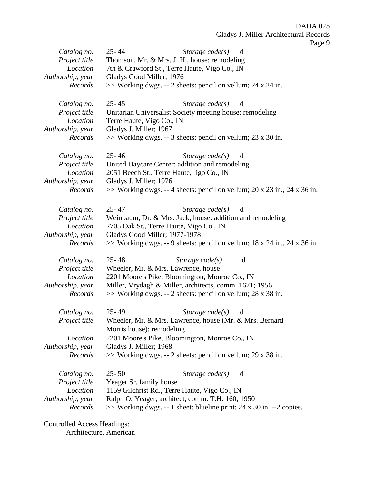| Catalog no.<br>Project title<br>Location<br>Authorship, year<br>Records | -0<br>$25 - 44$<br>Storage $code(s)$<br>d<br>Thomson, Mr. & Mrs. J. H., house: remodeling<br>7th & Crawford St., Terre Haute, Vigo Co., IN<br>Gladys Good Miller; 1976<br>>> Working dwgs. -- 2 sheets: pencil on vellum; 24 x 24 in.                                     |
|-------------------------------------------------------------------------|---------------------------------------------------------------------------------------------------------------------------------------------------------------------------------------------------------------------------------------------------------------------------|
| Catalog no.<br>Project title<br>Location<br>Authorship, year<br>Records | $25 - 45$<br>Storage $code(s)$<br>d<br>Unitarian Universalist Society meeting house: remodeling<br>Terre Haute, Vigo Co., IN<br>Gladys J. Miller; 1967<br>$\gg$ Working dwgs. -- 3 sheets: pencil on vellum; 23 x 30 in.                                                  |
| Catalog no.<br>Project title<br>Location<br>Authorship, year<br>Records | $25 - 46$<br>Storage $code(s)$<br>d<br>United Daycare Center: addition and remodeling<br>2051 Beech St., Terre Haute, [igo Co., IN<br>Gladys J. Miller; 1976<br>$\gg$ Working dwgs. -- 4 sheets: pencil on vellum; 20 x 23 in., 24 x 36 in.                               |
| Catalog no.<br>Project title<br>Location<br>Authorship, year<br>Records | $25 - 47$<br>Storage $code(s)$<br>d<br>Weinbaum, Dr. & Mrs. Jack, house: addition and remodeling<br>2705 Oak St., Terre Haute, Vigo Co., IN<br>Gladys Good Miller; 1977-1978<br>$\gg$ Working dwgs. -- 9 sheets: pencil on vellum; 18 x 24 in., 24 x 36 in.               |
| Catalog no.<br>Project title<br>Location<br>Authorship, year<br>Records | $25 - 48$<br>Storage $code(s)$<br>d<br>Wheeler, Mr. & Mrs. Lawrence, house<br>2201 Moore's Pike, Bloomington, Monroe Co., IN<br>Miller, Vrydagh & Miller, architects, comm. 1671; 1956<br>>> Working dwgs. -- 2 sheets: pencil on vellum; 28 x 38 in.                     |
| Catalog no.<br>Project title<br>Location<br>Authorship, year<br>Records | $25 - 49$<br>Storage $code(s)$<br>d<br>Wheeler, Mr. & Mrs. Lawrence, house (Mr. & Mrs. Bernard<br>Morris house): remodeling<br>2201 Moore's Pike, Bloomington, Monroe Co., IN<br>Gladys J. Miller; 1968<br>$\gg$ Working dwgs. -- 2 sheets: pencil on vellum; 29 x 38 in. |
| Catalog no.<br>Project title<br>Location<br>Authorship, year<br>Records | $25 - 50$<br>Storage $code(s)$<br>d<br>Yeager Sr. family house<br>1159 Gilchrist Rd., Terre Haute, Vigo Co., IN<br>Ralph O. Yeager, architect, comm. T.H. 160; 1950<br>$\gg$ Working dwgs. -- 1 sheet: blueline print; 24 x 30 in. --2 copies.                            |

Controlled Access Headings:

Architecture, American